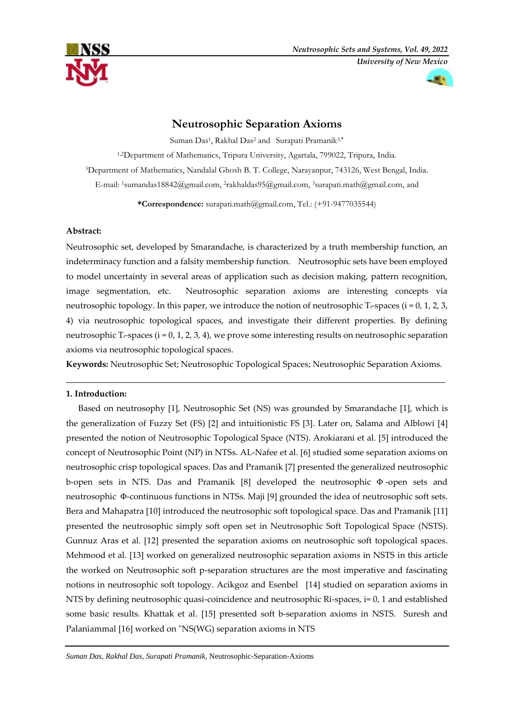

# **Neutrosophic Separation Axioms**

Suman Das<sup>1</sup>, Rakhal Das<sup>2</sup> and Surapati Pramanik<sup>3,\*</sup>

1,2Department of Mathematics, Tripura University, Agartala, 799022, Tripura, India. <sup>3</sup>Department of Mathematics, Nandalal Ghosh B. T. College, Narayanpur, 743126, West Bengal, India. E-mail: <sup>1</sup>sumandas18842@gmail.com, <sup>2</sup>[rakhaldas95@gmail.com,](mailto:rakhaldas95@gmail.com) <sup>3</sup>[surapati.math@gmail.com,](mailto:surapati.math@gmail.com) and

**\*Correspondence:** [surapati.math@gmail.com,](mailto:surapati.math@gmail.com) Tel.: (+91-9477035544)

# **Abstract:**

Neutrosophic set, developed by Smarandache, is characterized by a truth membership function, an indeterminacy function and a falsity membership function. Neutrosophic sets have been employed to model uncertainty in several areas of application such as decision making, pattern recognition, image segmentation, etc. Neutrosophic separation axioms are interesting concepts via neutrosophic topology. In this paper, we introduce the notion of neutrosophic T<sub>i</sub>-spaces ( $i = 0, 1, 2, 3$ , 4) via neutrosophic topological spaces, and investigate their different properties. By defining neutrosophic Ti-spaces (i = 0, 1, 2, 3, 4), we prove some interesting results on neutrosophic separation axioms via neutrosophic topological spaces.

**Keywords:** Neutrosophic Set; Neutrosophic Topological Spaces; Neutrosophic Separation Axioms. **\_\_\_\_\_\_\_\_\_\_\_\_\_\_\_\_\_\_\_\_\_\_\_\_\_\_\_\_\_\_\_\_\_\_\_\_\_\_\_\_\_\_\_\_\_\_\_\_\_\_\_\_\_\_\_\_\_\_\_\_\_\_\_\_\_\_\_\_\_\_\_\_\_\_\_\_\_\_\_\_\_\_\_\_\_\_\_\_**

# **1. Introduction:**

Based on neutrosophy [1], Neutrosophic Set (NS) was grounded by Smarandache [1], which is the generalization of Fuzzy Set (FS) [2] and intuitionistic FS [3]. Later on, Salama and Alblowi [4] presented the notion of Neutrosophic Topological Space (NTS). Arokiarani et al. [5] introduced the concept of Neutrosophic Point (NP) in NTSs. AL-Nafee et al. [6] studied some separation axioms on neutrosophic crisp topological spaces. Das and Pramanik [7] presented the generalized neutrosophic b-open sets in NTS. Das and Pramanik [8] developed the neutrosophic Φ -open sets and neutrosophic Φ-continuous functions in NTSs. Maji [9] grounded the idea of neutrosophic soft sets. Bera and Mahapatra [10] introduced the neutrosophic soft topological space. Das and Pramanik [11] presented the neutrosophic simply soft open set in Neutrosophic Soft Topological Space (NSTS). Gunnuz Aras et al. [12] presented the separation axioms on neutrosophic soft topological spaces. Mehmood et al. [13] worked on generalized neutrosophic separation axioms in NSTS in this article the worked on Neutrosophic soft p-separation structures are the most imperative and fascinating notions in neutrosophic soft topology. Acikgoz and Esenbel [14] studied on separation axioms in NTS by defining neutrosophic quasi-coincidence and neutrosophic Ri-spaces, i= 0, 1 and established some basic results. Khattak et al. [15] presented soft b-separation axioms in NSTS. Suresh and Palaniammal [16] worked on "NS(WG) separation axioms in NTS

*Suman Das*, *Rakhal Das*, *Surapati Pramanik*, Neutrosophic-Separation-Axioms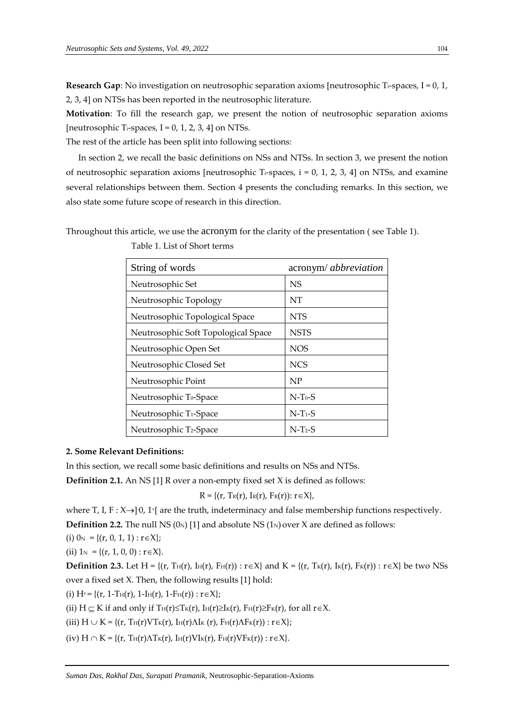**Research Gap**: No investigation on neutrosophic separation axioms [neutrosophic T<sub>i</sub>-spaces, I = 0, 1, 2, 3, 4] on NTSs has been reported in the neutrosophic literature.

**Motivation**: To fill the research gap, we present the notion of neutrosophic separation axioms [neutrosophic T<sub>i</sub>-spaces,  $I = 0, 1, 2, 3, 4$ ] on NTSs.

The rest of the article has been split into following sections:

In section 2, we recall the basic definitions on NSs and NTSs. In section 3, we present the notion of neutrosophic separation axioms [neutrosophic T<sub>i</sub>-spaces,  $i = 0, 1, 2, 3, 4$ ] on NTSs, and examine several relationships between them. Section 4 presents the concluding remarks. In this section, we also state some future scope of research in this direction.

Throughout this article, we use the acronym for the clarity of the presentation ( see Table 1).

| String of words                     | acronym/ abbreviation |
|-------------------------------------|-----------------------|
| Neutrosophic Set                    | <b>NS</b>             |
| Neutrosophic Topology               | NT                    |
| Neutrosophic Topological Space      | <b>NTS</b>            |
| Neutrosophic Soft Topological Space | <b>NSTS</b>           |
| Neutrosophic Open Set               | <b>NOS</b>            |
| Neutrosophic Closed Set             | <b>NCS</b>            |
| Neutrosophic Point                  | NP                    |
| Neutrosophic T <sub>0</sub> -Space  | $N-T_0-S$             |
| Neutrosophic T <sub>1</sub> -Space  | $N-T1-S$              |
| Neutrosophic T <sub>2</sub> -Space  | $N-T_2-S$             |

Table 1. List of Short terms

### **2. Some Relevant Definitions:**

In this section, we recall some basic definitions and results on NSs and NTSs.

**Definition 2.1.** An NS [1] R over a non-empty fixed set X is defined as follows:

 $R = \{(r, T_R(r), I_R(r), F_R(r)) : r \in X\},\$ 

where T, I,  $F : X \rightarrow ]0$ , 1<sup>+</sup> [ are the truth, indeterminacy and false membership functions respectively.

**Definition 2.2.** The null NS  $(0_N)$  [1] and absolute NS  $(1_N)$  over X are defined as follows:

(i)  $0_N = \{(r, 0, 1, 1) : r \in X\};$ 

(ii)  $1_N = \{(r, 1, 0, 0) : r \in X\}.$ 

**Definition 2.3.** Let H = { $(r, Th(r), In(r), F<sub>H</sub>(r))$  :  $r \in X$ } and  $K = \{ (r, Tr(r), Ir(r))$  :  $r \in X \}$  be two NSs over a fixed set X. Then, the following results [1] hold:

(i)  $H^c = \{(r, 1-T_H(r), 1-I_H(r), 1-F_H(r)) : r \in X\};$ 

(ii)  $H \subseteq K$  if and only if  $T_H(r) \leq T_K(r)$ ,  $I_H(r) \geq I_K(r)$ ,  $F_H(r) \geq F_K(r)$ , for all  $r \in X$ .

(iii)  $H \cup K = \{(r, T_H(r) V T_K(r), I_H(r) \Lambda I_K(r), F_H(r) \Lambda F_K(r)) : r \in X\};$ 

(iv)  $H \cap K = \{(r, T_H(r) \Lambda T_K(r), I_H(r) V I_K(r), F_H(r) V F_K(r)) : r \in X\}.$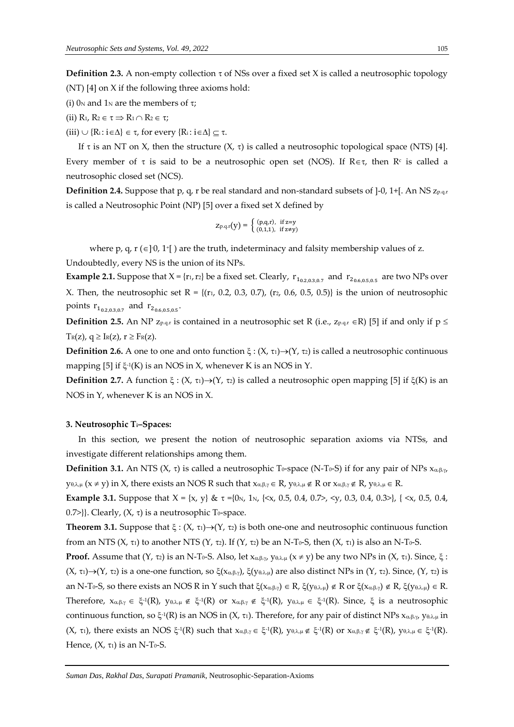**Definition 2.3.** A non-empty collection  $\tau$  of NSs over a fixed set X is called a neutrosophic topology (NT) [4] on X if the following three axioms hold:

- (i)  $0<sub>N</sub>$  and  $1<sub>N</sub>$  are the members of  $\tau$ ;
- (ii)  $R_1, R_2 \in \tau \Rightarrow R_1 \cap R_2 \in \tau$ ;
- (iii)  $\cup$  {R<sub>i</sub>: i  $\in \Delta$ }  $\in \tau$ , for every {R<sub>i</sub>: i  $\in \Delta$ }  $\subseteq \tau$ .

If  $\tau$  is an NT on X, then the structure  $(X, \tau)$  is called a neutrosophic topological space (NTS) [4]. Every member of  $\tau$  is said to be a neutrosophic open set (NOS). If R $\epsilon \tau$ , then R<sup>c</sup> is called a neutrosophic closed set (NCS).

**Definition 2.4.** Suppose that p, q, r be real standard and non-standard subsets of  $]-0$ , 1+[. An NS  $z_{p,q,r}$ is called a Neutrosophic Point (NP) [5] over a fixed set X defined by

$$
Z_{p,q,r}(y) = \begin{cases} (p,q,r), & \text{if } z=y\\ (0,1,1), & \text{if } z \neq y) \end{cases}
$$

where p, q,  $r$  ( $\in$ ] $\cdot$ 0, 1<sup>+</sup>[) are the truth, indeterminacy and falsity membership values of z.

Undoubtedly, every NS is the union of its NPs.

**Example 2.1.** Suppose that  $X = \{r_1, r_2\}$  be a fixed set. Clearly,  $r_{1_{0.2,0.3,0.7}}$  and  $r_{2_{0.6,0.5,0.5}}$  are two NPs over X. Then, the neutrosophic set R =  $\{(r_1, 0.2, 0.3, 0.7), (r_2, 0.6, 0.5, 0.5)\}\$ is the union of neutrosophic points  $r_{1_{0.2,0.3,0.7}}$  and  $r_{2_{0.6,0.5,0.5}}$ .

**Definition 2.5.** An NP  $z_{p,q,r}$  is contained in a neutrosophic set R (i.e.,  $z_{p,q,r} \in R$ ) [5] if and only if  $p \leq$  $T_R(z)$ ,  $q \geq I_R(z)$ ,  $r \geq F_R(z)$ .

**Definition 2.6.** A one to one and onto function  $\xi$  :  $(X, \tau) \rightarrow (Y, \tau)$  is called a neutrosophic continuous mapping [5] if  $\xi^{\text{-}1}$ (K) is an NOS in X, whenever K is an NOS in Y.

**Definition 2.7.** A function  $\xi$ :  $(X, \tau_1) \rightarrow (Y, \tau_2)$  is called a neutrosophic open mapping [5] if  $\xi(K)$  is an NOS in Y, whenever K is an NOS in X.

#### **3. Neutrosophic Ti–Spaces:**

In this section, we present the notion of neutrosophic separation axioms via NTSs, and investigate different relationships among them.

**Definition 3.1.** An NTS ( $X$ ,  $\tau$ ) is called a neutrosophic T<sub>0</sub>-space (N-T<sub>0</sub>-S) if for any pair of NPs  $x_{\alpha,\beta,\gamma}$  $y_{\theta,\lambda,\mu}$  ( $x \neq y$ ) in X, there exists an NOS R such that  $x_{\alpha,\beta,\gamma} \in R$ ,  $y_{\theta,\lambda,\mu} \notin R$  or  $x_{\alpha,\beta,\gamma} \notin R$ ,  $y_{\theta,\lambda,\mu} \in R$ .

**Example 3.1.** Suppose that  $X = \{x, y\}$  &  $\tau = \{0_N, 1_N, \{< x, 0.5, 0.4, 0.7, < y, 0.3, 0.4, 0.3, > \}, \{< x, 0.5, 0.4, 0.3, > \}$ 0.7>}}. Clearly,  $(X, \tau)$  is a neutrosophic To-space.

**Theorem 3.1.** Suppose that  $\xi$ :  $(X, \tau_1) \rightarrow (Y, \tau_2)$  is both one-one and neutrosophic continuous function from an NTS  $(X, \tau)$  to another NTS  $(Y, \tau)$ . If  $(Y, \tau)$  be an N-T<sub>0</sub>-S, then  $(X, \tau)$  is also an N-T<sub>0</sub>-S.

**Proof.** Assume that  $(Y, \tau_2)$  is an N-T<sub>0</sub>-S. Also, let  $x_{\alpha,\beta,\gamma}$ ,  $y_{\theta,\lambda,\mu}$   $(x \neq y)$  be any two NPs in  $(X, \tau_1)$ . Since,  $\xi$ :  $(X, \tau_1) \rightarrow (Y, \tau_2)$  is a one-one function, so  $\xi(x_{\alpha,\beta,\gamma})$ ,  $\xi(y_{\theta,\lambda,\mu})$  are also distinct NPs in  $(Y, \tau_2)$ . Since,  $(Y, \tau_2)$  is an N-T<sub>0</sub>-S, so there exists an NOS R in Y such that  $\xi(x_{\alpha,\beta,\gamma}) \in R$ ,  $\xi(y_{\theta,\lambda,\mu}) \notin R$  or  $\xi(x_{\alpha,\beta,\gamma}) \notin R$ ,  $\xi(y_{\theta,\lambda,\mu}) \in R$ . Therefore,  $x_{\alpha,\beta,\gamma} \in \xi^{-1}(R)$ ,  $y_{\theta,\lambda,\mu} \notin \xi^{-1}(R)$  or  $x_{\alpha,\beta,\gamma} \notin \xi^{-1}(R)$ ,  $y_{\theta,\lambda,\mu} \in \xi^{-1}(R)$ . Since,  $\xi$  is a neutrosophic continuous function, so  $\xi$ <sup>-1</sup>(R) is an NOS in (X,  $\tau$ 1). Therefore, for any pair of distinct NPs  $x_{\alpha,\beta,\gamma}$ ,  $y_{\theta,\lambda,\mu}$  in  $(X, \tau_1)$ , there exists an NOS  $\xi^{\text{-}1}(R)$  such that  $x_{\alpha,\beta,\gamma} \in \xi^{\text{-}1}(R)$ ,  $y_{\theta,\lambda,\mu} \notin \xi^{\text{-}1}(R)$  or  $x_{\alpha,\beta,\gamma} \notin \xi^{\text{-}1}(R)$ ,  $y_{\theta,\lambda,\mu} \in \xi^{\text{-}1}(R)$ . Hence,  $(X, \tau_1)$  is an N-T<sub>0</sub>-S.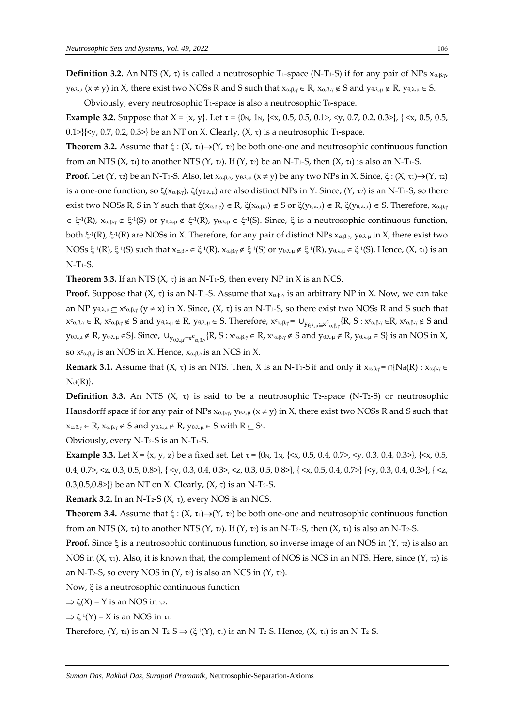Obviously, every neutrosophic  $T_1$ -space is also a neutrosophic  $T_0$ -space.

**Example 3.2.** Suppose that X = {x, y}. Let = {0N, 1N, {<x, 0.5, 0.5, 0.1>, <y, 0.7, 0.2, 0.3>}, { <x, 0.5, 0.5, 0.1> $\{ \langle v, 0.7, 0.2, 0.3 \rangle \}$  be an NT on X. Clearly,  $(X, \tau)$  is a neutrosophic T<sub>1</sub>-space.

**Theorem 3.2.** Assume that  $\xi$ :  $(X, \tau_1) \rightarrow (Y, \tau_2)$  be both one-one and neutrosophic continuous function from an NTS  $(X, \tau)$  to another NTS  $(Y, \tau)$ . If  $(Y, \tau)$  be an N-T<sub>1</sub>-S, then  $(X, \tau)$  is also an N-T<sub>1</sub>-S.

**Proof.** Let  $(Y, \tau_2)$  be an N-T<sub>1</sub>-S. Also, let  $x_{\alpha,\beta,\gamma}$ ,  $y_{\theta,\lambda,\mu}(x \neq y)$  be any two NPs in X. Since,  $\xi$ :  $(X, \tau_1) \rightarrow (Y, \tau_2)$ is a one-one function, so  $\xi(x_{\alpha,\beta,\gamma})$ ,  $\xi(y_{\theta,\lambda,\mu})$  are also distinct NPs in Y. Since,  $(Y, \tau_2)$  is an N-T<sub>1</sub>-S, so there exist two NOSs R, S in Y such that  $\xi(x_{\alpha,\beta,\gamma}) \in R$ ,  $\xi(x_{\alpha,\beta,\gamma}) \notin S$  or  $\xi(y_{\theta,\lambda,\mu}) \notin R$ ,  $\xi(y_{\theta,\lambda,\mu}) \in S$ . Therefore,  $x_{\alpha,\beta,\gamma}$  $\in \xi^{-1}(R)$ ,  $x_{\alpha,\beta,\gamma} \notin \xi^{-1}(S)$  or  $y_{\theta,\lambda,\mu} \notin \xi^{-1}(R)$ ,  $y_{\theta,\lambda,\mu} \in \xi^{-1}(S)$ . Since,  $\xi$  is a neutrosophic continuous function, both  $\xi$ <sup>-1</sup>(R),  $\xi$ <sup>-1</sup>(R) are NOSs in X. Therefore, for any pair of distinct NPs  $x_{\alpha,\beta,\gamma}$ , y $_{\theta,\lambda,\mu}$  in X, there exist two  $\text{NOSs} \; \xi^{-1}(\text{R})$ ,  $\xi^{-1}(\text{S})$  such that  $x_{\alpha,\beta,\gamma} \in \xi^{-1}(\text{R})$ ,  $x_{\alpha,\beta,\gamma} \notin \xi^{-1}(\text{S})$  or  $y_{\theta,\lambda,\mu} \notin \xi^{-1}(\text{R})$ ,  $y_{\theta,\lambda,\mu} \in \xi^{-1}(\text{S})$ . Hence,  $(X, \tau_1)$  is an N-T1-S.

**Theorem 3.3.** If an NTS  $(X, \tau)$  is an N-T<sub>1</sub>-S, then every NP in X is an NCS.

**Proof.** Suppose that  $(X, \tau)$  is an N-T<sub>1</sub>-S. Assume that  $x_{\alpha,\beta,\gamma}$  is an arbitrary NP in X. Now, we can take an NP  $y_{\theta,\lambda,\mu} \subseteq x_{\alpha,\beta,\gamma}$  ( $y \neq x$ ) in X. Since,  $(X, \tau)$  is an N-T<sub>1</sub>-S, so there exist two NOSs R and S such that  $x_{\alpha,\beta,\gamma} \in R$ ,  $x_{\alpha,\beta,\gamma} \notin S$  and  $y_{\theta,\lambda,\mu} \notin R$ ,  $y_{\theta,\lambda,\mu} \in S$ . Therefore,  $x_{\alpha,\beta,\gamma} = \bigcup_{y_{\theta,\lambda,\mu} \subseteq x_{\alpha,\beta,\gamma}} \{R, S : x_{\alpha,\beta,\gamma} \in R$ ,  $x_{\alpha,\beta,\gamma} \notin S$  and  $y_{\theta,\lambda,\mu}\notin R$ ,  $y_{\theta,\lambda,\mu}\in S$ }. Since,  $\cup_{y_{\theta,\lambda,\mu}\subseteq x^c_{\alpha,\beta,\gamma}}\{R,S:x^c_{\alpha,\beta,\gamma}\in R$ ,  $x^c_{\alpha,\beta,\gamma}\notin S$  and  $y_{\theta,\lambda,\mu}\notin R$ ,  $y_{\theta,\lambda,\mu}\in S\}$  is an NOS in X, so  $x<sup>c</sup>_{\alpha,\beta,\gamma}$  is an NOS in X. Hence,  $x_{\alpha,\beta,\gamma}$  is an NCS in X.

**Remark 3.1.** Assume that  $(X, \tau)$  is an NTS. Then, X is an N-T<sub>1</sub>-S if and only if  $x_{\alpha,\beta,\gamma} \in \bigcap \{N_d(R) : x_{\alpha,\beta,\gamma} \in \mathbb{R}^d\}$  $N_{cl}(R)$ .

**Definition 3.3.** An NTS  $(X, \tau)$  is said to be a neutrosophic T<sub>2</sub>-space (N-T<sub>2</sub>-S) or neutrosophic Hausdorff space if for any pair of NPs  $x_{\alpha,\beta,\gamma}$ ,  $y_{\theta,\lambda,\mu}$  ( $x \neq y$ ) in X, there exist two NOSs R and S such that  $x_{\alpha\beta\gamma} \in R$ ,  $x_{\alpha\beta\gamma} \notin S$  and  $y_{\theta\lambda\mu} \notin R$ ,  $y_{\theta\lambda\mu} \in S$  with  $R \subseteq S^c$ .

Obviously, every  $N-T_2-S$  is an  $N-T_1-S$ .

**Example 3.3.** Let  $X = \{x, y, z\}$  be a fixed set. Let  $\tau = \{0, 1, 1\}$ ,  $\{\ll x, 0.5, 0.4, 0.7\}$ ,  $\{\ll y, 0.3, 0.4, 0.3\}$ ,  $\{\ll x, 0.5, 0.4, 0.4\}$ 0.4, 0.7>, <z, 0.3, 0.5, 0.8>}, { <y, 0.3, 0.4, 0.3>, <z, 0.3, 0.5, 0.8>}, { <x, 0.5, 0.4, 0.7>} { <y, 0.3, 0.4, 0.3>}, { <z, 0.3,0.5,0.8>}} be an NT on X. Clearly,  $(X, \tau)$  is an N-T<sub>2</sub>-S.

**Remark 3.2.** In an N-T<sub>2</sub>-S  $(X, \tau)$ , every NOS is an NCS.

**Theorem 3.4.** Assume that  $\xi$  :  $(X, \tau_1) \rightarrow (Y, \tau_2)$  be both one-one and neutrosophic continuous function from an NTS (X,  $\tau$ ) to another NTS (Y,  $\tau$ 2). If (Y,  $\tau$ 2) is an N-T2-S, then (X,  $\tau$ ) is also an N-T2-S.

**Proof.** Since  $\xi$  is a neutrosophic continuous function, so inverse image of an NOS in  $(Y, \tau_2)$  is also an NOS in  $(X, \tau_1)$ . Also, it is known that, the complement of NOS is NCS in an NTS. Here, since  $(Y, \tau_2)$  is an N-T<sub>2</sub>-S, so every NOS in  $(Y, \tau_2)$  is also an NCS in  $(Y, \tau_2)$ .

Now,  $\xi$  is a neutrosophic continuous function

 $\Rightarrow \xi(X) = Y$  is an NOS in  $\tau_2$ .

 $\Rightarrow \xi^{-1}(Y) = X$  is an NOS in  $\tau_1$ .

Therefore,  $(Y, \tau_2)$  is an N-T2-S  $\Rightarrow (\xi_1(Y), \tau_1)$  is an N-T2-S. Hence,  $(X, \tau_1)$  is an N-T2-S.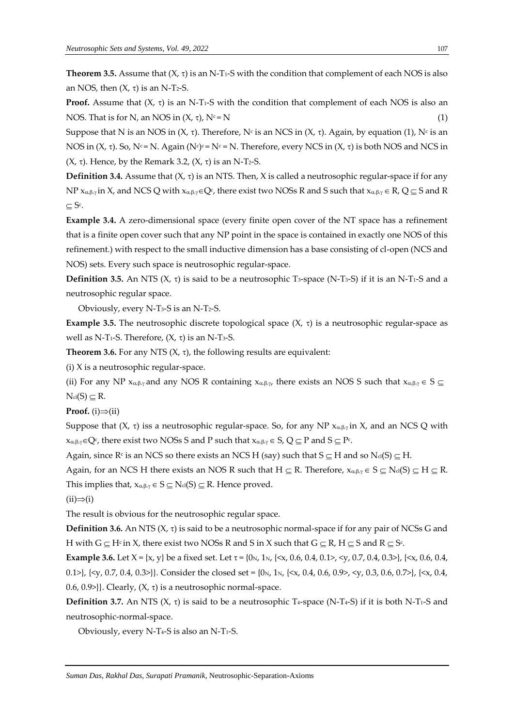**Theorem 3.5.** Assume that  $(X, \tau)$  is an N-T<sub>1</sub>-S with the condition that complement of each NOS is also an NOS, then  $(X, \tau)$  is an N-T<sub>2</sub>-S.

**Proof.** Assume that  $(X, \tau)$  is an N-T<sub>1</sub>-S with the condition that complement of each NOS is also an NOS. That is for N, an NOS in  $(X, \tau)$ ,  $N^c = N$  (1)

Suppose that N is an NOS in (X, τ). Therefore, N<sup>c</sup> is an NCS in (X, τ). Again, by equation (1), N<sup>c</sup> is an NOS in  $(X, \tau)$ . So, N<sup>c</sup>= N. Again (N<sup>c</sup>)<sup>c</sup>= N<sup>c</sup> = N. Therefore, every NCS in  $(X, \tau)$  is both NOS and NCS in  $(X, \tau)$ . Hence, by the Remark 3.2,  $(X, \tau)$  is an N-T<sub>2</sub>-S.

**Definition 3.4.** Assume that  $(X, \tau)$  is an NTS. Then, X is called a neutrosophic regular-space if for any NP  $x_{\alpha,\beta,\gamma}$ in X, and NCS Q with  $x_{\alpha,\beta,\gamma} \in Q^c$ , there exist two NOSs R and S such that  $x_{\alpha,\beta,\gamma} \in R$ , Q  $\subseteq$  S and R  $\subseteq$  S<sup>c</sup>.

**Example 3.4.** A zero-dimensional space (every finite open cover of the NT space has a refinement that is a finite open cover such that any NP point in the space is contained in exactly one NOS of this refinement.) with respect to the small inductive dimension has a base consisting of cl-open (NCS and NOS) sets. Every such space is neutrosophic regular-space.

**Definition 3.5.** An NTS  $(X, \tau)$  is said to be a neutrosophic T<sub>3</sub>-space (N-T<sub>3</sub>-S) if it is an N-T<sub>1</sub>-S and a neutrosophic regular space.

Obviously, every N-T3-S is an N-T2-S.

**Example 3.5.** The neutrosophic discrete topological space  $(X, \tau)$  is a neutrosophic regular-space as well as N-T<sub>1</sub>-S. Therefore,  $(X, \tau)$  is an N-T<sub>3</sub>-S.

**Theorem 3.6.** For any NTS  $(X, \tau)$ , the following results are equivalent:

(i) X is a neutrosophic regular-space.

(ii) For any NP  $x_{\alpha,\beta,\gamma}$  and any NOS R containing  $x_{\alpha,\beta,\gamma}$ , there exists an NOS S such that  $x_{\alpha,\beta,\gamma} \in S \subseteq$  $N_{cl}(S) \subseteq R$ .

**Proof.** (i) $\Rightarrow$ (ii)

Suppose that  $(X, \tau)$  iss a neutrosophic regular-space. So, for any NP  $x_{\alpha\beta\gamma}$  in X, and an NCS Q with  $x_{\alpha,\beta,\gamma} \in Q^c$ , there exist two NOSs S and P such that  $x_{\alpha,\beta,\gamma} \in S$ ,  $Q \subseteq P$  and  $S \subseteq P^c$ .

Again, since  $R<sup>c</sup>$  is an NCS so there exists an NCS H (say) such that  $S \subseteq H$  and so  $N<sub>cl</sub>(S) \subseteq H$ .

Again, for an NCS H there exists an NOS R such that  $H \subseteq R$ . Therefore,  $x_{\alpha,\beta,\gamma} \in S \subseteq N_{cl}(S) \subseteq H \subseteq R$ . This implies that,  $x_{\alpha,\beta,\gamma} \in S \subseteq N_{cl}(S) \subseteq R$ . Hence proved.

 $(ii) \Rightarrow (i)$ 

The result is obvious for the neutrosophic regular space.

**Definition 3.6.** An NTS  $(X, \tau)$  is said to be a neutrosophic normal-space if for any pair of NCSs G and H with G  $\subseteq$  H¢ in X, there exist two NOSs R and S in X such that G  $\subseteq$  R, H  $\subseteq$  S and R  $\subseteq$  S¢.

**Example 3.6.** Let  $X = \{x, y\}$  be a fixed set. Let  $\tau = \{0, y, 1, z\}$ ,  $\{x, 0.6, 0.4, 0.1, z\}$ ,  $\{y, 0.7, 0.4, 0.3, z\}$ ,  $\{x, 0.6, 0.4, 0.4, 0.3, z\}$ 0.1>},  $\{ \langle v, 0.7, 0.4, 0.3 \rangle \}$ . Consider the closed set =  $\{0v, 1v, \{ \langle x, 0.4, 0.6, 0.9 \rangle, \langle v, 0.3, 0.6, 0.7 \rangle \}$ ,  $\{ \langle x, 0.4, 0.4, 0.4 \rangle \}$ 0.6, 0.9>}}. Clearly,  $(X, \tau)$  is a neutrosophic normal-space.

**Definition 3.7.** An NTS  $(X, \tau)$  is said to be a neutrosophic T<sub>4</sub>-space (N-T<sub>4</sub>-S) if it is both N-T<sub>1</sub>-S and neutrosophic-normal-space.

Obviously, every N-T4-S is also an N-T1-S.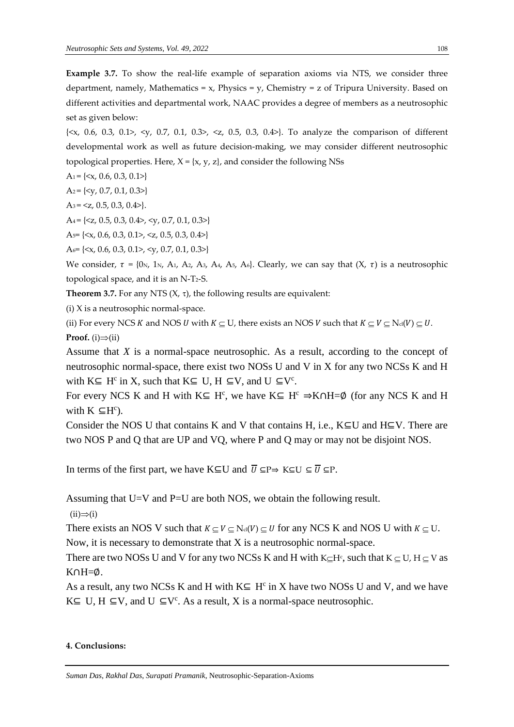**Example 3.7.** To show the real-life example of separation axioms via NTS, we consider three department, namely, Mathematics =  $x$ , Physics =  $y$ , Chemistry =  $z$  of Tripura University. Based on different activities and departmental work, NAAC provides a degree of members as a neutrosophic set as given below:

 $\{\langle x, 0.6, 0.3, 0.1 \rangle, \langle y, 0.7, 0.1, 0.3 \rangle, \langle z, 0.5, 0.3, 0.4 \rangle\}$ . To analyze the comparison of different developmental work as well as future decision-making, we may consider different neutrosophic topological properties. Here,  $X = \{x, y, z\}$ , and consider the following NSs

 $A_1 = \{ \langle x, 0.6, 0.3, 0.1 \rangle \}$ 

 $A_2 = \{ \langle v, 0.7, 0.1, 0.3 \rangle \}$ 

 $A_3 = \langle z, 0.5, 0.3, 0.4 \rangle$ .

 $A_4 = \{ \langle z, 0.5, 0.3, 0.4 \rangle, \langle y, 0.7, 0.1, 0.3 \rangle \}$ 

A<sub>5</sub> =  $\{ >,  $>}$$ 

A6= {<x, 0.6, 0.3, 0.1>, <y, 0.7, 0.1, 0.3>}

We consider,  $\tau = \{0 \text{N}, 1 \text{N}, A_1, A_2, A_3, A_4, A_5, A_6\}$ . Clearly, we can say that  $(X, \tau)$  is a neutrosophic topological space, and it is an N-T2-S.

**Theorem 3.7.** For any NTS  $(X, \tau)$ , the following results are equivalent:

(i) X is a neutrosophic normal-space.

(ii) For every NCS K and NOS U with  $K \subset U$ , there exists an NOS V such that  $K \subset V \subset N_{cl}(V) \subset U$ . **Proof.** (i) $\Rightarrow$ (ii)

Assume that *X* is a normal-space neutrosophic. As a result, according to the concept of neutrosophic normal-space, there exist two NOSs U and V in X for any two NCSs K and H with  $K \subseteq H^c$  in X, such that  $K \subseteq U$ ,  $H \subseteq V$ , and  $U \subseteq V^c$ .

For every NCS K and H with  $K \subseteq H^c$ , we have  $K \subseteq H^c \Rightarrow K \cap H = \emptyset$  (for any NCS K and H with  $K \subseteq H^c$ ).

Consider the NOS U that contains K and V that contains H, i.e.,  $K\subseteq U$  and  $H\subseteq V$ . There are two NOS P and Q that are UP and VQ, where P and Q may or may not be disjoint NOS.

In terms of the first part, we have K⊆U and  $\overline{U} \subseteq P \Rightarrow K \subseteq U \subseteq \overline{U} \subseteq P$ .

Assuming that U=V and P=U are both NOS, we obtain the following result.

 $(ii) \Rightarrow (i)$ 

There exists an NOS V such that  $K \subseteq V \subseteq N_{cl}(V) \subseteq U$  for any NCS K and NOS U with  $K \subseteq U$ . Now, it is necessary to demonstrate that X is a neutrosophic normal-space.

There are two NOSs U and V for any two NCSs K and H with K $\subseteq$ H $\varsigma$ , such that K $\subseteq$ U, H $\subseteq$ V as  $K \cap H = \emptyset$ .

As a result, any two NCSs K and H with  $K \subseteq H^c$  in X have two NOSs U and V, and we have  $K \subseteq U$ ,  $H \subseteq V$ , and  $U \subseteq V^c$ . As a result, X is a normal-space neutrosophic.

#### **4. Conclusions:**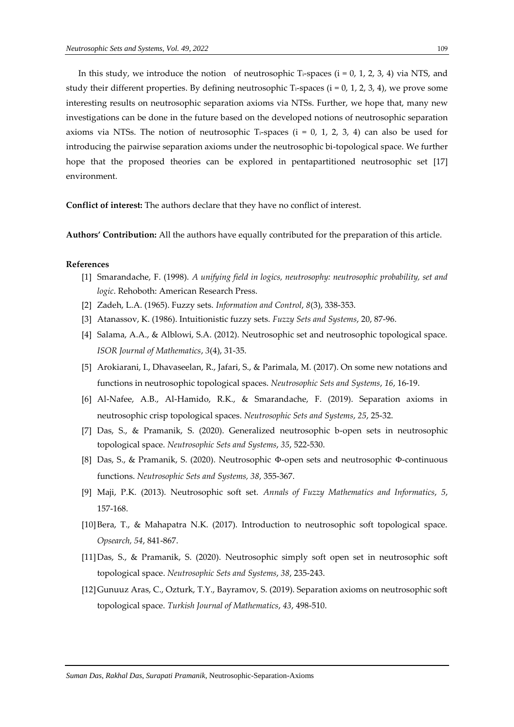In this study, we introduce the notion of neutrosophic T<sub>i</sub>-spaces ( $i = 0, 1, 2, 3, 4$ ) via NTS, and study their different properties. By defining neutrosophic  $T_i$ -spaces (i = 0, 1, 2, 3, 4), we prove some interesting results on neutrosophic separation axioms via NTSs. Further, we hope that, many new investigations can be done in the future based on the developed notions of neutrosophic separation axioms via NTSs. The notion of neutrosophic Ti-spaces (i = 0, 1, 2, 3, 4) can also be used for introducing the pairwise separation axioms under the neutrosophic bi-topological space. We further hope that the proposed theories can be explored in pentapartitioned neutrosophic set [17] environment.

**Conflict of interest:** The authors declare that they have no conflict of interest.

**Authors' Contribution:** All the authors have equally contributed for the preparation of this article.

#### **References**

- [1] Smarandache, F. (1998). *A unifying field in logics, neutrosophy: neutrosophic probability, set and logic*. Rehoboth: American Research Press.
- [2] Zadeh, L.A. (1965). Fuzzy sets. *Information and Control*, *8*(3), 338-353.
- [3] Atanassov, K. (1986). Intuitionistic fuzzy sets. *Fuzzy Sets and Systems*, 20, 87-96.
- [4] Salama, A.A., & Alblowi, S.A. (2012). Neutrosophic set and neutrosophic topological space. *ISOR Journal of Mathematics*, *3*(4), 31-35.
- [5] Arokiarani, I., Dhavaseelan, R., Jafari, S., & Parimala, M. (2017). On some new notations and functions in neutrosophic topological spaces. *Neutrosophic Sets and Systems*, *16*, 16-19.
- [6] Al-Nafee, A.B., Al-Hamido, R.K., & Smarandache, F. (2019). Separation axioms in neutrosophic crisp topological spaces. *Neutrosophic Sets and Systems*, *25*, 25-32.
- [7] Das, S., & Pramanik, S. (2020). Generalized neutrosophic b-open sets in neutrosophic topological space. *Neutrosophic Sets and Systems*, *35*, 522-530.
- [8] Das, S., & Pramanik, S. (2020). Neutrosophic Φ-open sets and neutrosophic Φ-continuous functions. *Neutrosophic Sets and Systems, 38*, 355-367.
- [9] Maji, P.K. (2013). Neutrosophic soft set. *Annals of Fuzzy Mathematics and Informatics*, *5*, 157-168.
- [10]Bera, T., & Mahapatra N.K. (2017). Introduction to neutrosophic soft topological space. *Opsearch, 54*, 841-867.
- [11]Das, S., & Pramanik, S. (2020). Neutrosophic simply soft open set in neutrosophic soft topological space. *Neutrosophic Sets and Systems*, *38*, 235-243.
- [12]Gunuuz Aras, C., Ozturk, T.Y., Bayramov, S. (2019). Separation axioms on neutrosophic soft topological space. *Turkish Journal of Mathematics*, *43*, 498-510.